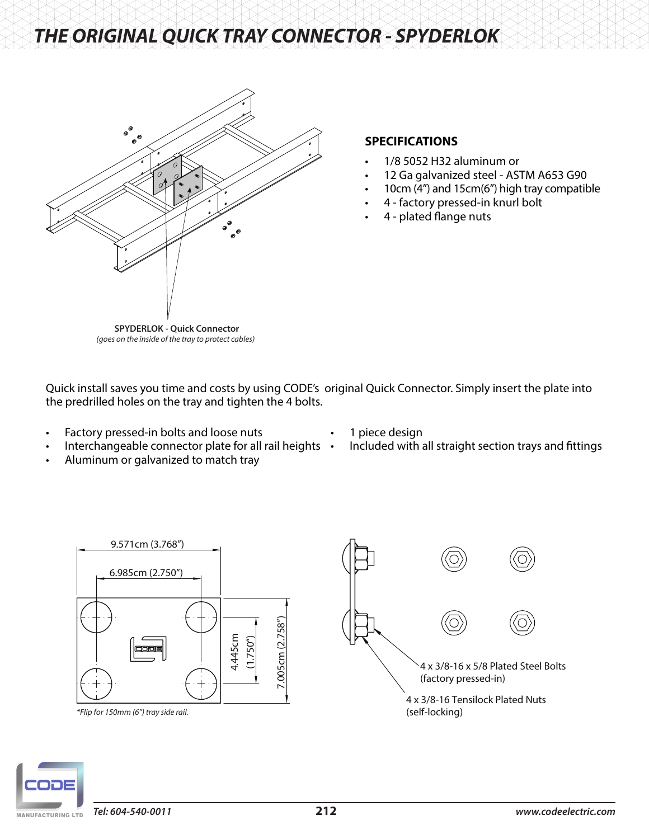# *THE ORIGINAL QUICK TRAY CONNECTOR - SPYDERLOK*



## **SPECIFICATIONS**

- 1/8 5052 H32 aluminum or
- 12 Ga galvanized steel ASTM A653 G90
- 10cm (4") and 15cm(6") high tray compatible
- 4 factory pressed-in knurl bolt
	- 4 plated flange nuts

**SPYDERLOK - Quick Connector** *(goes on the inside of the tray to protect cables)*

Quick install saves you time and costs by using CODE's original Quick Connector. Simply insert the plate into the predrilled holes on the tray and tighten the 4 bolts.

- Factory pressed-in bolts and loose nuts
- 1 piece design
- Interchangeable connector plate for all rail heights • Included with all straight section trays and fittings
- Aluminum or galvanized to match tray



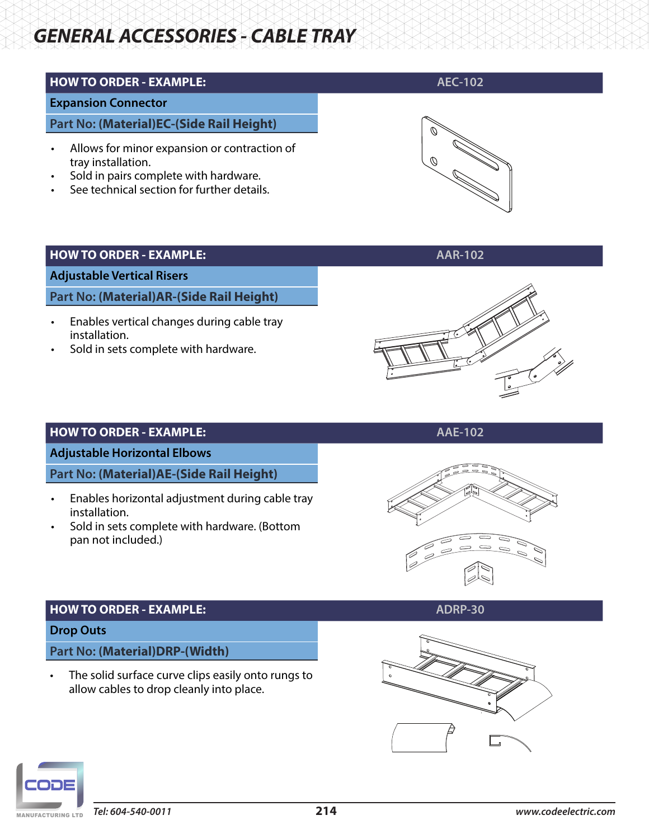# **HOW TO ORDER - EXAMPLE: ABOUT A EC-102**

#### **Expansion Connector**

**Part No: (Material)EC-(Side Rail Height)**

- Allows for minor expansion or contraction of tray installation.
- Sold in pairs complete with hardware.
- See technical section for further details.



#### **HOW TO ORDER - EXAMPLE: AAR-102**

**Adjustable Vertical Risers**

**Part No: (Material)AR-(Side Rail Height)**

- Enables vertical changes during cable tray installation.
- Sold in sets complete with hardware.



## **HOW TO ORDER - EXAMPLE: AAE-102**

**Adjustable Horizontal Elbows**

**Part No: (Material)AE-(Side Rail Height)**

- Enables horizontal adjustment during cable tray installation.
- Sold in sets complete with hardware. (Bottom pan not included.)





## **HOW TO ORDER - EXAMPLE: ADRP-30**

#### **Drop Outs**

**Part No: (Material)DRP-(Width)**

The solid surface curve clips easily onto rungs to allow cables to drop cleanly into place.



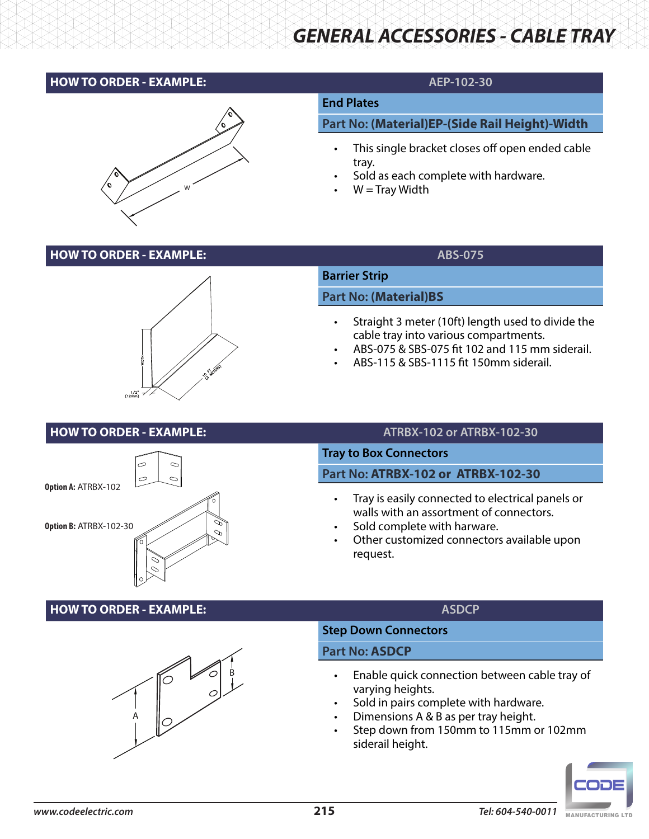## **HOW TO ORDER - EXAMPLE: AEP-102-30**



## **End Plates**

#### **Part No: (Material)EP-(Side Rail Height)-Width**

- This single bracket closes off open ended cable tray.
- Sold as each complete with hardware.
- $W =$ Tray Width

## **HOW TO ORDER - EXAMPLE:** ABS-075



# **Barrier Strip Part No: (Material)BS**

- Straight 3 meter (10ft) length used to divide the cable tray into various compartments.
- ABS-075 & SBS-075 fit 102 and 115 mm siderail.
- ABS-115 & SBS-1115 fit 150mm siderail.

## **HOW TO ORDER - EXAMPLE: ATRBX-102 or ATRBX-102-30**



## **Tray to Box Connectors**

## **Part No: ATRBX-102 or ATRBX-102-30**

- Tray is easily connected to electrical panels or walls with an assortment of connectors.
- Sold complete with harware.
- Other customized connectors available upon request.

## **HOW TO ORDER - EXAMPLE: ASDCP**



## **Step Down Connectors**

#### **Part No: ASDCP**

- Enable quick connection between cable tray of varying heights.
- Sold in pairs complete with hardware.
- Dimensions A & B as per tray height.
- Step down from 150mm to 115mm or 102mm siderail height.

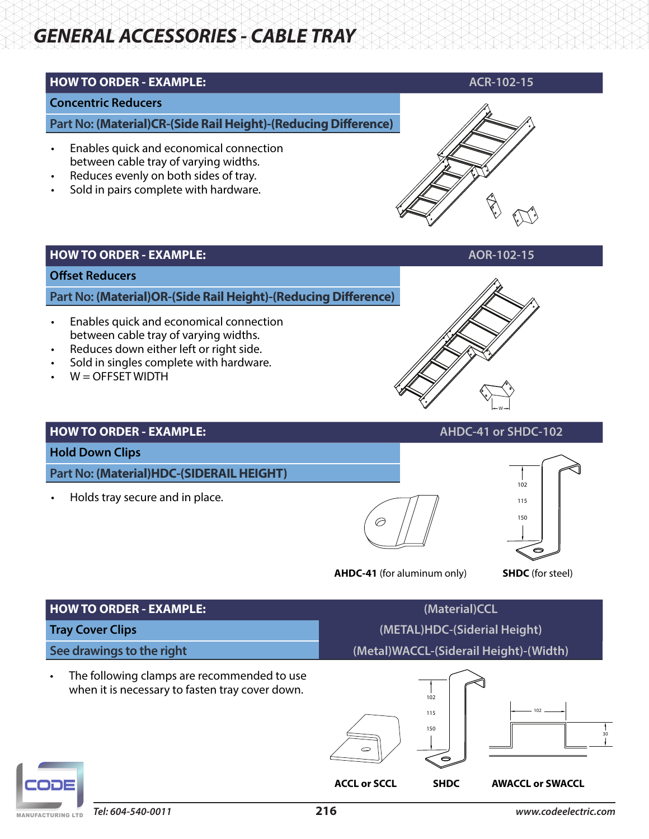## **HOW TO ORDER - EXAMPLE: ACR-102-15**

# **Concentric Reducers**

**Part No: (Material)CR-(Side Rail Height)-(Reducing Difference)**

- Enables quick and economical connection between cable tray of varying widths.
- Reduces evenly on both sides of tray.
- Sold in pairs complete with hardware.



#### **HOW TO ORDER - EXAMPLE: AOR-102-15**

#### **Offset Reducers**

**Part No: (Material)OR-(Side Rail Height)-(Reducing Difference)**

- Enables quick and economical connection between cable tray of varying widths.
- Reduces down either left or right side.
- Sold in singles complete with hardware.
- $W =$  OFFSET WIDTH



#### **HOW TO ORDER - EXAMPLE:**  $AHOV = 102$

#### **Hold Down Clips**

**Part No: (Material)HDC-(SIDERAIL HEIGHT)**

• Holds tray secure and in place.



**AHDC-41** (for aluminum only) **SHDC** (for steel)



| <b>HOW TO ORDER - EXAMPLE:</b>                                                                              | (Material)CCL                          |                                |                         |  |  |
|-------------------------------------------------------------------------------------------------------------|----------------------------------------|--------------------------------|-------------------------|--|--|
| <b>Tray Cover Clips</b>                                                                                     | (METAL)HDC-(Siderial Height)           |                                |                         |  |  |
| See drawings to the right                                                                                   | (Metal)WACCL-(Siderail Height)-(Width) |                                |                         |  |  |
| The following clamps are recommended to use<br>$\bullet$<br>when it is necessary to fasten tray cover down. | $\circ$                                | 102<br>115<br>150<br>$\bullet$ | 102                     |  |  |
|                                                                                                             | <b>ACCL or SCCL</b>                    | <b>SHDC</b>                    | <b>AWACCL or SWACCL</b> |  |  |

MANUFACTURING LTD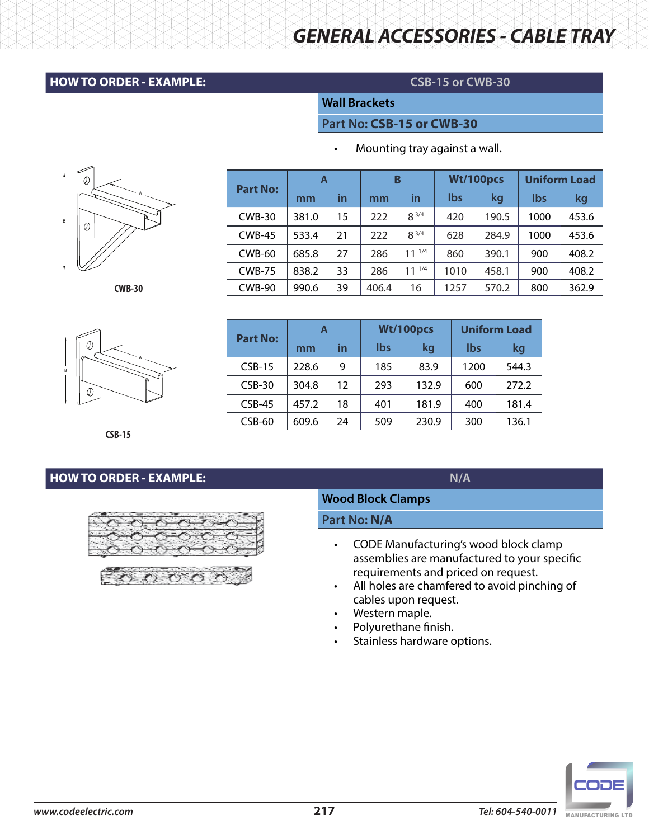### **HOW TO ORDER - EXAMPLE: CSB-15 or CWB-30**

*GENERAL ACCESSORIES - CABLE TRAY*

#### **Wall Brackets**

#### **Part No: CSB-15 or CWB-30**

• Mounting tray against a wall.

| <b>Part No:</b> | A     |    | B     |            | Wt/100pcs  |       | <b>Uniform Load</b> |       |
|-----------------|-------|----|-------|------------|------------|-------|---------------------|-------|
|                 | mm    | in | mm    | in         | <b>lbs</b> | kg    | lbs                 | kg    |
| <b>CWB-30</b>   | 381.0 | 15 | 222   | $8^{3/4}$  | 420        | 190.5 | 1000                | 453.6 |
| $CWB-45$        | 533.4 | 21 | 222   | $8^{3/4}$  | 628        | 284.9 | 1000                | 453.6 |
| <b>CWB-60</b>   | 685.8 | 27 | 286   | $11^{1/4}$ | 860        | 390.1 | 900                 | 408.2 |
| <b>CWB-75</b>   | 838.2 | 33 | 286   | $11^{1/4}$ | 1010       | 458.1 | 900                 | 408.2 |
| <b>CWB-90</b>   | 990.6 | 39 | 406.4 | 16         | 1257       | 570.2 | 800                 | 362.9 |

**A Wt/100pcs Uniform Load**

**mm in lbs kg lbs kg**

CSB-15 228.6 9 185 83.9 1200 544.3 CSB-30 304.8 12 293 132.9 600 272.2 CSB-45 457.2 18 401 181.9 400 181.4 CSB-60 | 609.6 24 | 509 230.9 | 300 136.1

A B 0)



**CSB-15**

# **HOW TO ORDER - EXAMPLE: N/A**



**Part No:** 

#### **Wood Block Clamps**

**Part No: N/A**

- CODE Manufacturing's wood block clamp assemblies are manufactured to your specific requirements and priced on request.
- All holes are chamfered to avoid pinching of cables upon request.
- Western maple.
- Polyurethane finish.
- Stainless hardware options.





*Tel: 604-540-0011* **216** *www.codeelectric.com www.codeelectric.com* **217** *Tel: 604-540-0011*